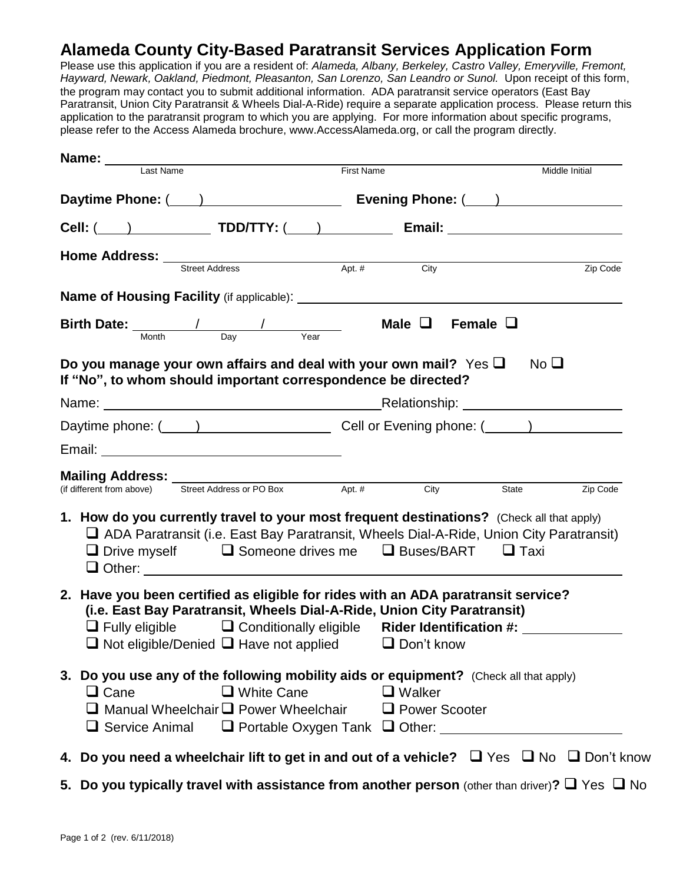## **Alameda County City-Based Paratransit Services Application Form**

Please use this application if you are a resident of: *Alameda, Albany, Berkeley, Castro Valley, Emeryville, Fremont, Hayward, Newark, Oakland, Piedmont, Pleasanton, San Lorenzo, San Leandro or Sunol.* Upon receipt of this form, the program may contact you to submit additional information. ADA paratransit service operators (East Bay Paratransit, Union City Paratransit & Wheels Dial-A-Ride) require a separate application process. Please return this application to the paratransit program to which you are applying. For more information about specific programs, please refer to the Access Alameda brochure, www.AccessAlameda.org, or call the program directly.

| <b>Name:</b> Last Name                                                                                                                                                                                                                                                | <b>First Name</b><br>Middle Initial                                                                                                                                                         |
|-----------------------------------------------------------------------------------------------------------------------------------------------------------------------------------------------------------------------------------------------------------------------|---------------------------------------------------------------------------------------------------------------------------------------------------------------------------------------------|
|                                                                                                                                                                                                                                                                       |                                                                                                                                                                                             |
|                                                                                                                                                                                                                                                                       |                                                                                                                                                                                             |
|                                                                                                                                                                                                                                                                       |                                                                                                                                                                                             |
| <b>Home Address:</b> Street Address Apt. # City                                                                                                                                                                                                                       | Zip Code                                                                                                                                                                                    |
|                                                                                                                                                                                                                                                                       |                                                                                                                                                                                             |
| <b>Birth Date:</b> $\frac{1}{\frac{Month}{Day}}$ $\frac{1}{\frac{Vear}{Day}}$                                                                                                                                                                                         | Male $\Box$ Female $\Box$                                                                                                                                                                   |
| Do you manage your own affairs and deal with your own mail? Yes $\Box$<br>If "No", to whom should important correspondence be directed?                                                                                                                               | No <sub>1</sub>                                                                                                                                                                             |
|                                                                                                                                                                                                                                                                       |                                                                                                                                                                                             |
|                                                                                                                                                                                                                                                                       |                                                                                                                                                                                             |
|                                                                                                                                                                                                                                                                       |                                                                                                                                                                                             |
| <b>Mailing Address:</b><br>(if different from above) Street Address or PO Box Apt. # City                                                                                                                                                                             | Zip Code<br>State                                                                                                                                                                           |
| $\Box$ Drive myself $\Box$ Someone drives me $\Box$ Buses/BART $\Box$ Taxi                                                                                                                                                                                            | 1. How do you currently travel to your most frequent destinations? (Check all that apply)<br>$\Box$ ADA Paratransit (i.e. East Bay Paratransit, Wheels Dial-A-Ride, Union City Paratransit) |
| 2. Have you been certified as eligible for rides with an ADA paratransit service?<br>(i.e. East Bay Paratransit, Wheels Dial-A-Ride, Union City Paratransit)<br>$\Box$ Not eligible/Denied $\Box$ Have not applied $\Box$ Don't know                                  | $\Box$ Fully eligible $\Box$ Conditionally eligible Rider Identification #: $\Box$                                                                                                          |
| 3. Do you use any of the following mobility aids or equipment? (Check all that apply)<br>$\Box$ White Cane<br>$\Box$ Cane<br>$\Box$ Manual Wheelchair $\Box$ Power Wheelchair $\Box$ Power Scooter<br>$\Box$ Service Animal $\Box$ Portable Oxygen Tank $\Box$ Other: | $\Box$ Walker                                                                                                                                                                               |
|                                                                                                                                                                                                                                                                       | 4. Do you need a wheelchair lift to get in and out of a vehicle? $\Box$ Yes $\Box$ No $\Box$ Don't know                                                                                     |

**5.** Do you typically travel with assistance from another person (other than driver)?  $\Box$  Yes  $\Box$  No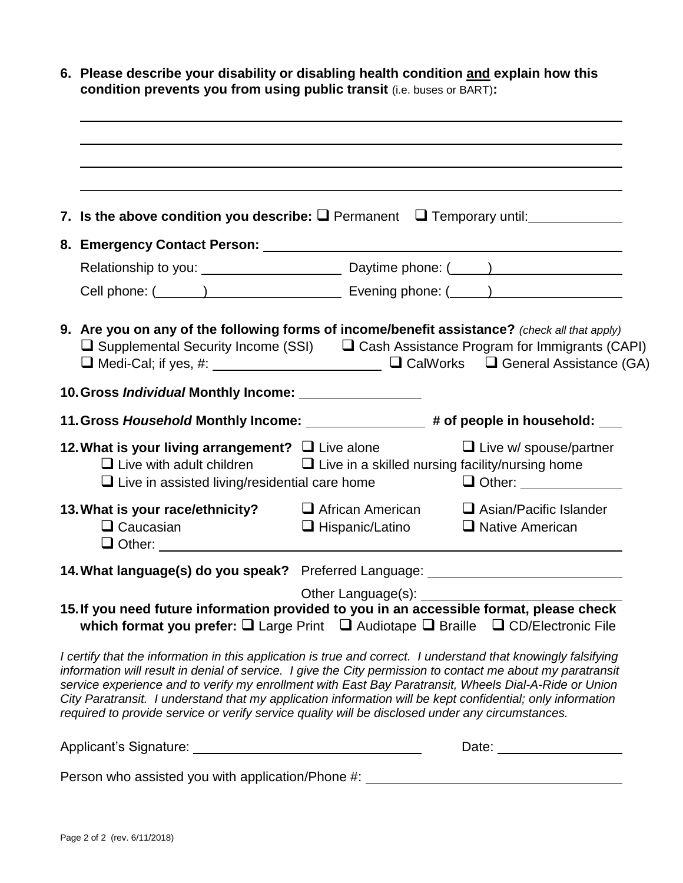| 6. Please describe your disability or disabling health condition and explain how this<br>condition prevents you from using public transit (i.e. buses or BART):                                                                                                                                                                                                                                                                                                                                                                                          |                        |                                                                                                                                                                                                                                                                      |
|----------------------------------------------------------------------------------------------------------------------------------------------------------------------------------------------------------------------------------------------------------------------------------------------------------------------------------------------------------------------------------------------------------------------------------------------------------------------------------------------------------------------------------------------------------|------------------------|----------------------------------------------------------------------------------------------------------------------------------------------------------------------------------------------------------------------------------------------------------------------|
|                                                                                                                                                                                                                                                                                                                                                                                                                                                                                                                                                          |                        |                                                                                                                                                                                                                                                                      |
| 7. Is the above condition you describe: $\Box$ Permanent $\Box$ Temporary until:                                                                                                                                                                                                                                                                                                                                                                                                                                                                         |                        |                                                                                                                                                                                                                                                                      |
| 8. Emergency Contact Person: 2008 2012 2022 2023 2024 2022 2023 2024 2022 2023 2024 2022 2023 2024 2022 2023 20                                                                                                                                                                                                                                                                                                                                                                                                                                          |                        |                                                                                                                                                                                                                                                                      |
|                                                                                                                                                                                                                                                                                                                                                                                                                                                                                                                                                          |                        |                                                                                                                                                                                                                                                                      |
|                                                                                                                                                                                                                                                                                                                                                                                                                                                                                                                                                          |                        |                                                                                                                                                                                                                                                                      |
| 9. Are you on any of the following forms of income/benefit assistance? (check all that apply)<br>$\Box$ Supplemental Security Income (SSI) $\Box$ Cash Assistance Program for Immigrants (CAPI)                                                                                                                                                                                                                                                                                                                                                          |                        |                                                                                                                                                                                                                                                                      |
| 10. Gross Individual Monthly Income: _________________                                                                                                                                                                                                                                                                                                                                                                                                                                                                                                   |                        |                                                                                                                                                                                                                                                                      |
| 11. Gross Household Monthly Income: ________________# of people in household: ___                                                                                                                                                                                                                                                                                                                                                                                                                                                                        |                        |                                                                                                                                                                                                                                                                      |
| 12. What is your living arrangement? $\Box$ Live alone<br>$\Box$ Live with adult children $\Box$ Live in a skilled nursing facility/nursing home<br>$\Box$ Live in assisted living/residential care home                                                                                                                                                                                                                                                                                                                                                 |                        | $\Box$ Live w/ spouse/partner<br><b>Other:</b> 2011 01:00 01:00 01:00 02:00 02:00 02:00 02:00 02:00 02:00 02:00 02:00 02:00 02:00 02:00 02:00 02:00 02:00 02:00 02:00 02:00 02:00 02:00 02:00 02:00 02:00 02:00 02:00 02:00 02:00 02:00 02:00 02:00 02:00 02:00 02:0 |
| 13. What is your race/ethnicity? $\Box$ African American<br>$\Box$ Caucasian<br>$\Box$ Other:                                                                                                                                                                                                                                                                                                                                                                                                                                                            | $\Box$ Hispanic/Latino | $\Box$ Asian/Pacific Islander<br>□ Native American                                                                                                                                                                                                                   |
| 14. What language(s) do you speak? Preferred Language: _________________________                                                                                                                                                                                                                                                                                                                                                                                                                                                                         |                        |                                                                                                                                                                                                                                                                      |
| which format you prefer: Q Large Print Q Audiotape Q Braille Q CD/Electronic File                                                                                                                                                                                                                                                                                                                                                                                                                                                                        |                        |                                                                                                                                                                                                                                                                      |
| I certify that the information in this application is true and correct. I understand that knowingly falsifying<br>information will result in denial of service. I give the City permission to contact me about my paratransit<br>service experience and to verify my enrollment with East Bay Paratransit, Wheels Dial-A-Ride or Union<br>City Paratransit. I understand that my application information will be kept confidential; only information<br>required to provide service or verify service quality will be disclosed under any circumstances. |                        |                                                                                                                                                                                                                                                                      |
|                                                                                                                                                                                                                                                                                                                                                                                                                                                                                                                                                          |                        |                                                                                                                                                                                                                                                                      |

Person who assisted you with application/Phone #: \_\_\_\_\_\_\_\_\_\_\_\_\_\_\_\_\_\_\_\_\_\_\_\_\_\_\_\_\_\_